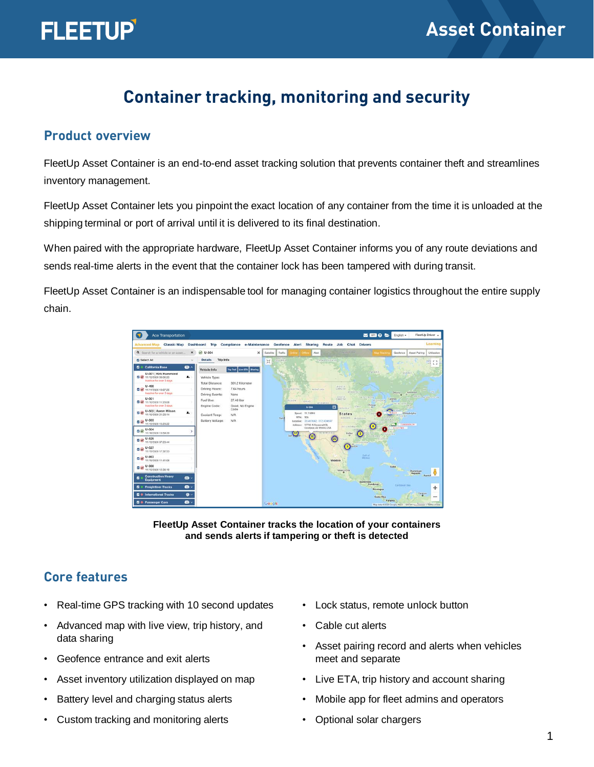## **Container tracking, monitoring and security**

#### **Product overview**

FleetUp Asset Container is an end-to-end asset tracking solution that prevents container theft and streamlines inventory management.

FleetUp Asset Container lets you pinpoint the exact location of any container from the time it is unloaded at the shipping terminal or port of arrival until it is delivered to its final destination.

When paired with the appropriate hardware, FleetUp Asset Container informs you of any route deviations and sends real-time alerts in the event that the container lock has been tampered with during transit.

FleetUp Asset Container is an indispensable tool for managing container logistics throughout the entire supply chain.





#### **Core features**

- Real-time GPS tracking with 10 second updates
- Advanced map with live view, trip history, and data sharing
- Geofence entrance and exit alerts
- Asset inventory utilization displayed on map
- Battery level and charging status alerts
- Custom tracking and monitoring alerts
- Lock status, remote unlock button
- Cable cut alerts
- Asset pairing record and alerts when vehicles meet and separate
- Live ETA, trip history and account sharing
- Mobile app for fleet admins and operators
- Optional solar chargers